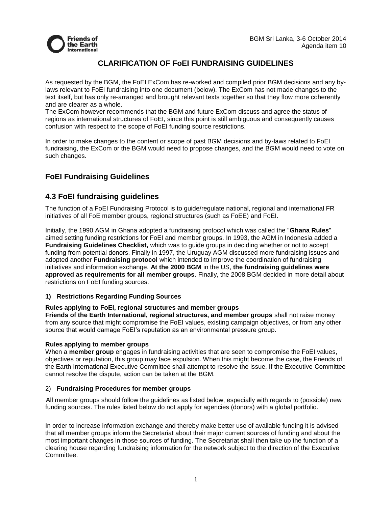

## **CLARIFICATION OF FoEI FUNDRAISING GUIDELINES**

As requested by the BGM, the FoEI ExCom has re-worked and compiled prior BGM decisions and any bylaws relevant to FoEI fundraising into one document (below). The ExCom has not made changes to the text itself, but has only re-arranged and brought relevant texts together so that they flow more coherently and are clearer as a whole.

The ExCom however recommends that the BGM and future ExCom discuss and agree the status of regions as international structures of FoEI, since this point is still ambiguous and consequently causes confusion with respect to the scope of FoEI funding source restrictions.

In order to make changes to the content or scope of past BGM decisions and by-laws related to FoEI fundraising, the ExCom or the BGM would need to propose changes, and the BGM would need to vote on such changes.

# **FoEI Fundraising Guidelines**

## **4.3 FoEI fundraising guidelines**

The function of a FoEI Fundraising Protocol is to guide/regulate national, regional and international FR initiatives of all FoE member groups, regional structures (such as FoEE) and FoEI.

Initially, the 1990 AGM in Ghana adopted a fundraising protocol which was called the "**Ghana Rules**" aimed setting funding restrictions for FoEI and member groups. In 1993, the AGM in Indonesia added a **Fundraising Guidelines Checklist,** which was to guide groups in deciding whether or not to accept funding from potential donors. Finally in 1997, the Uruguay AGM discussed more fundraising issues and adopted another **Fundraising protocol** which intended to improve the coordination of fundraising initiatives and information exchange. **At the 2000 BGM** in the US, **the fundraising guidelines were approved as requirements for all member groups**. Finally, the 2008 BGM decided in more detail about restrictions on FoEI funding sources.

### **1) Restrictions Regarding Funding Sources**

### **Rules applying to FoEI, regional structures and member groups**

**Friends of the Earth International, regional structures, and member groups** shall not raise money from any source that might compromise the FoEI values, existing campaign objectives, or from any other source that would damage FoEI's reputation as an environmental pressure group.

### **Rules applying to member groups**

When a **member group** engages in fundraising activities that are seen to compromise the FoEI values, objectives or reputation, this group may face expulsion. When this might become the case, the Friends of the Earth International Executive Committee shall attempt to resolve the issue. If the Executive Committee cannot resolve the dispute, action can be taken at the BGM.

### 2) **Fundraising Procedures for member groups**

All member groups should follow the guidelines as listed below, especially with regards to (possible) new funding sources. The rules listed below do not apply for agencies (donors) with a global portfolio.

In order to increase information exchange and thereby make better use of available funding it is advised that all member groups inform the Secretariat about their major current sources of funding and about the most important changes in those sources of funding. The Secretariat shall then take up the function of a clearing house regarding fundraising information for the network subject to the direction of the Executive Committee.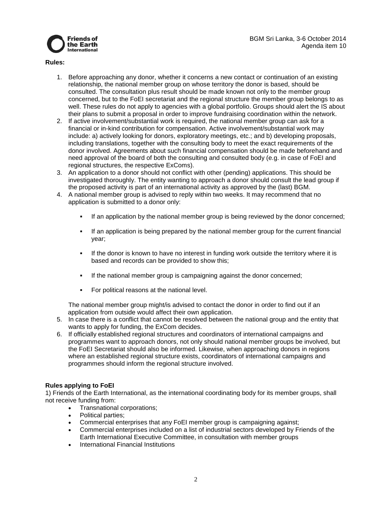



#### **Rules:**

- 1. Before approaching any donor, whether it concerns a new contact or continuation of an existing relationship, the national member group on whose territory the donor is based, should be consulted. The consultation plus result should be made known not only to the member group concerned, but to the FoEI secretariat and the regional structure the member group belongs to as well. These rules do not apply to agencies with a global portfolio. Groups should alert the IS about their plans to submit a proposal in order to improve fundraising coordination within the network.
- 2. If active involvement/substantial work is required, the national member group can ask for a financial or in-kind contribution for compensation. Active involvement/substantial work may include: a) actively looking for donors, exploratory meetings, etc.; and b) developing proposals, including translations, together with the consulting body to meet the exact requirements of the donor involved. Agreements about such financial compensation should be made beforehand and need approval of the board of both the consulting and consulted body (e.g. in case of FoEI and regional structures, the respective ExComs).
- 3. An application to a donor should not conflict with other (pending) applications. This should be investigated thoroughly. The entity wanting to approach a donor should consult the lead group if the proposed activity is part of an international activity as approved by the (last) BGM.
- 4. A national member group is advised to reply within two weeks. It may recommend that no application is submitted to a donor only:
	- If an application by the national member group is being reviewed by the donor concerned;
	- **If an application is being prepared by the national member group for the current financial** year;
	- If the donor is known to have no interest in funding work outside the territory where it is based and records can be provided to show this;
	- If the national member group is campaigning against the donor concerned;
	- For political reasons at the national level.

The national member group might/is advised to contact the donor in order to find out if an application from outside would affect their own application.

- 5. In case there is a conflict that cannot be resolved between the national group and the entity that wants to apply for funding, the ExCom decides.
- 6. If officially established regional structures and coordinators of international campaigns and programmes want to approach donors, not only should national member groups be involved, but the FoEI Secretariat should also be informed. Likewise, when approaching donors in regions where an established regional structure exists, coordinators of international campaigns and programmes should inform the regional structure involved.

### **Rules applying to FoEI**

1) Friends of the Earth International, as the international coordinating body for its member groups, shall not receive funding from:

- Transnational corporations;
- Political parties;
- Commercial enterprises that any FoEI member group is campaigning against;
- Commercial enterprises included on a list of industrial sectors developed by Friends of the Earth International Executive Committee, in consultation with member groups
- International Financial Institutions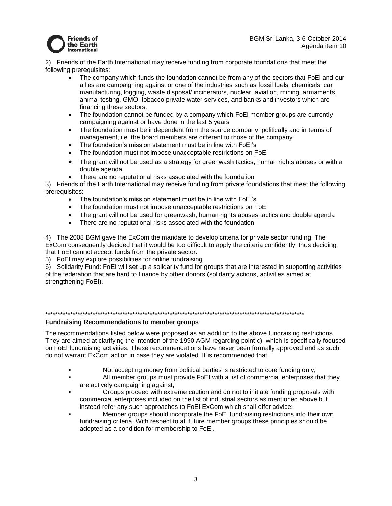

BGM Sri Lanka, 3-6 October 2014 Agenda item 10

2) Friends of the Earth International may receive funding from corporate foundations that meet the following prerequisites:

- The company which funds the foundation cannot be from any of the sectors that FoEI and our allies are campaigning against or one of the industries such as fossil fuels, chemicals, car manufacturing, logging, waste disposal/ incinerators, nuclear, aviation, mining, armaments, animal testing, GMO, tobacco private water services, and banks and investors which are financing these sectors.
- The foundation cannot be funded by a company which FoEI member groups are currently campaigning against or have done in the last 5 years
- The foundation must be independent from the source company, politically and in terms of management, i.e. the board members are different to those of the company
- The foundation's mission statement must be in line with FoEI's
- The foundation must not impose unacceptable restrictions on FoEI
- The grant will not be used as a strategy for greenwash tactics, human rights abuses or with a double agenda
- There are no reputational risks associated with the foundation

3) Friends of the Earth International may receive funding from private foundations that meet the following prerequisites:

- The foundation's mission statement must be in line with FoEI's
- The foundation must not impose unacceptable restrictions on FoEI
- The grant will not be used for greenwash, human rights abuses tactics and double agenda
- There are no reputational risks associated with the foundation

4) The 2008 BGM gave the ExCom the mandate to develop criteria for private sector funding. The ExCom consequently decided that it would be too difficult to apply the criteria confidently, thus deciding that FoEI cannot accept funds from the private sector.

5) FoEI may explore possibilities for online fundraising.

6) Solidarity Fund: FoEI will set up a solidarity fund for groups that are interested in supporting activities of the federation that are hard to finance by other donors (solidarity actions, activities aimed at strengthening FoEI).

#### \*\*\*\*\*\*\*\*\*\*\*\*\*\*\*\*\*\*\*\*\*\*\*\*\*\*\*\*\*\*\*\*\*\*\*\*\*\*\*\*\*\*\*\*\*\*\*\*\*\*\*\*\*\*\*\*\*\*\*\*\*\*\*\*\*\*\*\*\*\*\*\*\*\*\*\*\*\*\*\*\*\*\*\*\*\*\*\*\*\*\*\*\*\*\*\*\*\*\*\*\*\*\*\*

#### **Fundraising Recommendations to member groups**

The recommendations listed below were proposed as an addition to the above fundraising restrictions. They are aimed at clarifying the intention of the 1990 AGM regarding point c), which is specifically focused on FoEI fundraising activities. These recommendations have never been formally approved and as such do not warrant ExCom action in case they are violated. It is recommended that:

- Not accepting money from political parties is restricted to core funding only;
- All member groups must provide FoEI with a list of commercial enterprises that they are actively campaigning against;
- Groups proceed with extreme caution and do not to initiate funding proposals with commercial enterprises included on the list of industrial sectors as mentioned above but instead refer any such approaches to FoEI ExCom which shall offer advice;
- Member groups should incorporate the FoEI fundraising restrictions into their own fundraising criteria. With respect to all future member groups these principles should be adopted as a condition for membership to FoEI.